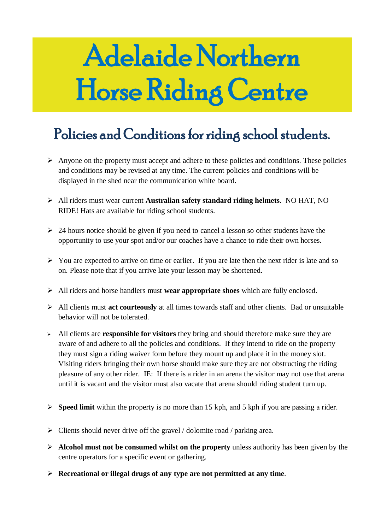# Adelaide Northern Horse Riding Centre

## Policies and Conditions for riding school students.

- $\triangleright$  Anyone on the property must accept and adhere to these policies and conditions. These policies and conditions may be revised at any time. The current policies and conditions will be displayed in the shed near the communication white board.
- All riders must wear current **Australian safety standard riding helmets**. NO HAT, NO RIDE! Hats are available for riding school students.
- $\geq$  24 hours notice should be given if you need to cancel a lesson so other students have the opportunity to use your spot and/or our coaches have a chance to ride their own horses.
- $\triangleright$  You are expected to arrive on time or earlier. If you are late then the next rider is late and so on. Please note that if you arrive late your lesson may be shortened.
- All riders and horse handlers must **wear appropriate shoes** which are fully enclosed.
- All clients must **act courteously** at all times towards staff and other clients. Bad or unsuitable behavior will not be tolerated.
- All clients are **responsible for visitors** they bring and should therefore make sure they are aware of and adhere to all the policies and conditions. If they intend to ride on the property they must sign a riding waiver form before they mount up and place it in the money slot. Visiting riders bringing their own horse should make sure they are not obstructing the riding pleasure of any other rider. IE: If there is a rider in an arena the visitor may not use that arena until it is vacant and the visitor must also vacate that arena should riding student turn up.
- **Speed limit** within the property is no more than 15 kph, and 5 kph if you are passing a rider.
- $\triangleright$  Clients should never drive off the gravel / dolomite road / parking area.
- **Alcohol must not be consumed whilst on the property** unless authority has been given by the centre operators for a specific event or gathering.
- **Recreational or illegal drugs of any type are not permitted at any time**.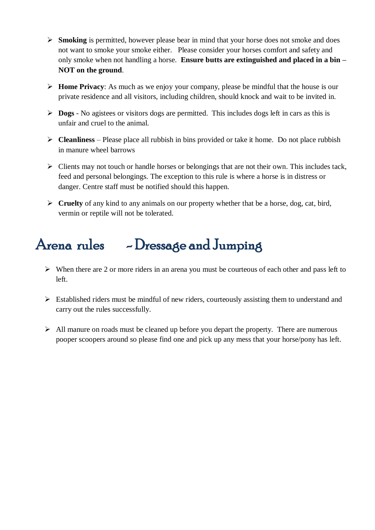- **Smoking** is permitted, however please bear in mind that your horse does not smoke and does not want to smoke your smoke either. Please consider your horses comfort and safety and only smoke when not handling a horse. **Ensure butts are extinguished and placed in a bin – NOT on the ground**.
- **Home Privacy**: As much as we enjoy your company, please be mindful that the house is our private residence and all visitors, including children, should knock and wait to be invited in.
- **Dogs** No agistees or visitors dogs are permitted. This includes dogs left in cars as this is unfair and cruel to the animal.
- **Cleanliness** Please place all rubbish in bins provided or take it home. Do not place rubbish in manure wheel barrows
- $\triangleright$  Clients may not touch or handle horses or belongings that are not their own. This includes tack, feed and personal belongings. The exception to this rule is where a horse is in distress or danger. Centre staff must be notified should this happen.
- **Cruelty** of any kind to any animals on our property whether that be a horse, dog, cat, bird, vermin or reptile will not be tolerated.

# Arena rules - Dressage and Jumping

- $\triangleright$  When there are 2 or more riders in an arena you must be courteous of each other and pass left to left.
- $\triangleright$  Established riders must be mindful of new riders, courteously assisting them to understand and carry out the rules successfully.
- $\triangleright$  All manure on roads must be cleaned up before you depart the property. There are numerous pooper scoopers around so please find one and pick up any mess that your horse/pony has left.